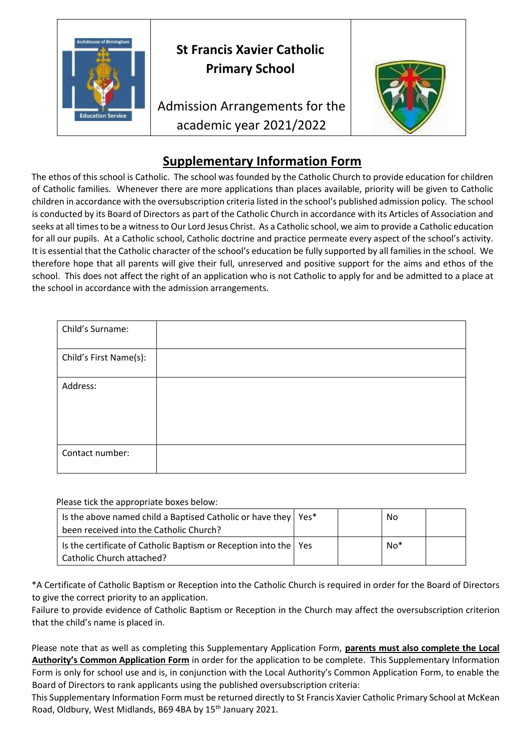

## **Supplementary Information Form**

The ethos of this school is Catholic. The school was founded by the Catholic Church to provide education for children of Catholic families. Whenever there are more applications than places available, priority will be given to Catholic children in accordance with the oversubscription criteria listed in the school's published admission policy. The school is conducted by its Board of Directors as part of the Catholic Church in accordance with its Articles of Association and seeks at all times to be a witness to Our Lord Jesus Christ. As a Catholic school, we aim to provide a Catholic education for all our pupils. At a Catholic school, Catholic doctrine and practice permeate every aspect of the school's activity. It is essential that the Catholic character of the school's education be fully supported by all families in the school. We therefore hope that all parents will give their full, unreserved and positive support for the aims and ethos of the school. This does not affect the right of an application who is not Catholic to apply for and be admitted to a place at the school in accordance with the admission arrangements.

| Child's Surname:       |  |
|------------------------|--|
| Child's First Name(s): |  |
| Address:               |  |
| Contact number:        |  |

Please tick the appropriate boxes below:

| Is the above named child a Baptised Catholic or have they   Yes*<br>been received into the Catholic Church? |  | No  |  |
|-------------------------------------------------------------------------------------------------------------|--|-----|--|
| Is the certificate of Catholic Baptism or Reception into the   Yes<br>Catholic Church attached?             |  | No* |  |

\*A Certificate of Catholic Baptism or Reception into the Catholic Church is required in order for the Board of Directors to give the correct priority to an application.

Failure to provide evidence of Catholic Baptism or Reception in the Church may affect the oversubscription criterion that the child's name is placed in.

Please note that as well as completing this Supplementary Application Form, **parents must also complete the Local Authority's Common Application Form** in order for the application to be complete. This Supplementary Information Form is only for school use and is, in conjunction with the Local Authority's Common Application Form, to enable the Board of Directors to rank applicants using the published oversubscription criteria:

This Supplementary Information Form must be returned directly to St Francis Xavier Catholic Primary School at McKean Road, Oldbury, West Midlands, B69 4BA by 15<sup>th</sup> January 2021.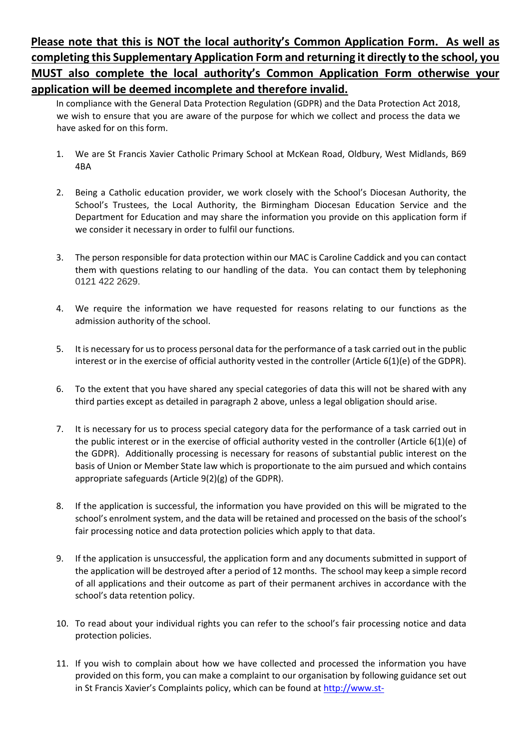## **Please note that this is NOT the local authority's Common Application Form. As well as completing this Supplementary Application Form and returning it directly to the school, you MUST also complete the local authority's Common Application Form otherwise your application will be deemed incomplete and therefore invalid.**

In compliance with the General Data Protection Regulation (GDPR) and the Data Protection Act 2018, we wish to ensure that you are aware of the purpose for which we collect and process the data we have asked for on this form.

- 1. We are St Francis Xavier Catholic Primary School at McKean Road, Oldbury, West Midlands, B69 4BA
- 2. Being a Catholic education provider, we work closely with the School's Diocesan Authority, the School's Trustees, the Local Authority, the Birmingham Diocesan Education Service and the Department for Education and may share the information you provide on this application form if we consider it necessary in order to fulfil our functions.
- 3. The person responsible for data protection within our MAC is Caroline Caddick and you can contact them with questions relating to our handling of the data. You can contact them by telephoning 0121 422 2629.
- 4. We require the information we have requested for reasons relating to our functions as the admission authority of the school.
- 5. It is necessary for us to process personal data for the performance of a task carried out in the public interest or in the exercise of official authority vested in the controller (Article 6(1)(e) of the GDPR).
- 6. To the extent that you have shared any special categories of data this will not be shared with any third parties except as detailed in paragraph 2 above, unless a legal obligation should arise.
- 7. It is necessary for us to process special category data for the performance of a task carried out in the public interest or in the exercise of official authority vested in the controller (Article 6(1)(e) of the GDPR). Additionally processing is necessary for reasons of substantial public interest on the basis of Union or Member State law which is proportionate to the aim pursued and which contains appropriate safeguards (Article 9(2)(g) of the GDPR).
- 8. If the application is successful, the information you have provided on this will be migrated to the school's enrolment system, and the data will be retained and processed on the basis of the school's fair processing notice and data protection policies which apply to that data.
- 9. If the application is unsuccessful, the application form and any documents submitted in support of the application will be destroyed after a period of 12 months. The school may keep a simple record of all applications and their outcome as part of their permanent archives in accordance with the school's data retention policy.
- 10. To read about your individual rights you can refer to the school's fair processing notice and data protection policies.
- 11. If you wish to complain about how we have collected and processed the information you have provided on this form, you can make a complaint to our organisation by following guidance set out in St Francis Xavier's Complaints policy, which can be found at [http://www.st-](http://www.st-francisxavier.sandwell.sch.uk/page/detail/policies-and-forms)